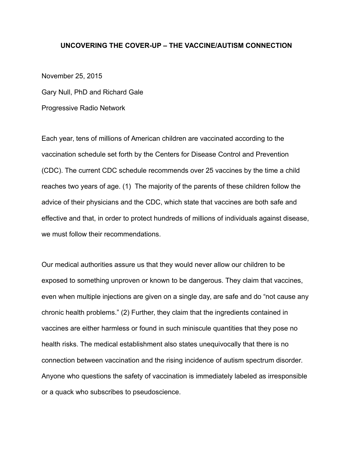# **UNCOVERING THE COVER-UP – THE VACCINE/AUTISM CONNECTION**

November 25, 2015

Gary Null, PhD and Richard Gale

Progressive Radio Network

Each year, tens of millions of American children are vaccinated according to the vaccination schedule set forth by the Centers for Disease Control and Prevention (CDC). The current CDC schedule recommends over 25 vaccines by the time a child reaches two years of age. (1) The majority of the parents of these children follow the advice of their physicians and the CDC, which state that vaccines are both safe and effective and that, in order to protect hundreds of millions of individuals against disease, we must follow their recommendations.

Our medical authorities assure us that they would never allow our children to be exposed to something unproven or known to be dangerous. They claim that vaccines, even when multiple injections are given on a single day, are safe and do "not cause any chronic health problems." (2) Further, they claim that the ingredients contained in vaccines are either harmless or found in such miniscule quantities that they pose no health risks. The medical establishment also states unequivocally that there is no connection between vaccination and the rising incidence of autism spectrum disorder. Anyone who questions the safety of vaccination is immediately labeled as irresponsible or a quack who subscribes to pseudoscience.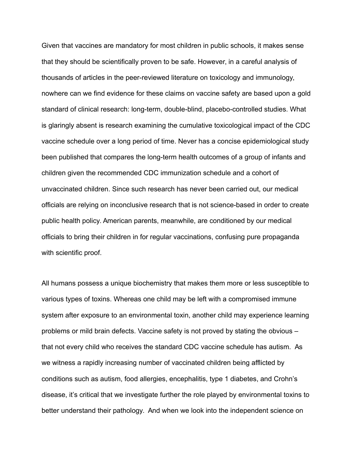Given that vaccines are mandatory for most children in public schools, it makes sense that they should be scientifically proven to be safe. However, in a careful analysis of thousands of articles in the peer-reviewed literature on toxicology and immunology, nowhere can we find evidence for these claims on vaccine safety are based upon a gold standard of clinical research: long-term, double-blind, placebo-controlled studies. What is glaringly absent is research examining the cumulative toxicological impact of the CDC vaccine schedule over a long period of time. Never has a concise epidemiological study been published that compares the long-term health outcomes of a group of infants and children given the recommended CDC immunization schedule and a cohort of unvaccinated children. Since such research has never been carried out, our medical officials are relying on inconclusive research that is not science-based in order to create public health policy. American parents, meanwhile, are conditioned by our medical officials to bring their children in for regular vaccinations, confusing pure propaganda with scientific proof.

All humans possess a unique biochemistry that makes them more or less susceptible to various types of toxins. Whereas one child may be left with a compromised immune system after exposure to an environmental toxin, another child may experience learning problems or mild brain defects. Vaccine safety is not proved by stating the obvious – that not every child who receives the standard CDC vaccine schedule has autism. As we witness a rapidly increasing number of vaccinated children being afflicted by conditions such as autism, food allergies, encephalitis, type 1 diabetes, and Crohn's disease, it's critical that we investigate further the role played by environmental toxins to better understand their pathology. And when we look into the independent science on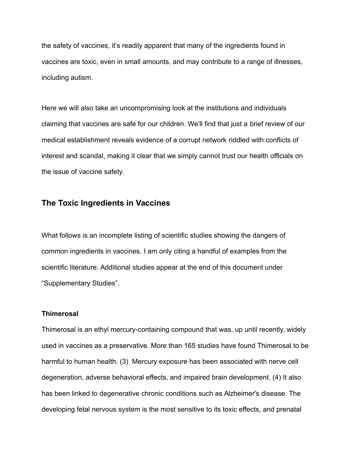the safety of vaccines, it's readily apparent that many of the ingredients found in vaccines are toxic, even in small amounts, and may contribute to a range of illnesses, including autism.

Here we will also take an uncompromising look at the institutions and individuals claiming that vaccines are safe for our children. We'll find that just a brief review of our medical establishment reveals evidence of a corrupt network riddled with conflicts of interest and scandal, making it clear that we simply cannot trust our health officials on the issue of vaccine safety.

# **The Toxic Ingredients in Vaccines**

What follows is an incomplete listing of scientific studies showing the dangers of common ingredients in vaccines. I am only citing a handful of examples from the scientific literature. Additional studies appear at the end of this document under "Supplementary Studies".

### **Thimerosal**

Thimerosal is an ethyl mercury-containing compound that was, up until recently, widely used in vaccines as a preservative. More than 165 studies have found Thimerosal to be harmful to human health. (3) Mercury exposure has been associated with nerve cell degeneration, adverse behavioral effects, and impaired brain development. (4) It also has been linked to degenerative chronic conditions such as Alzheimer's disease. The developing fetal nervous system is the most sensitive to its toxic effects, and prenatal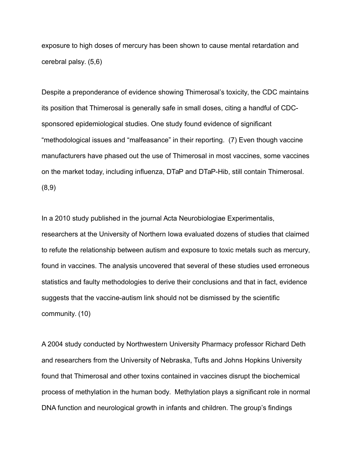exposure to high doses of mercury has been shown to cause mental retardation and cerebral palsy. (5,6)

Despite a preponderance of evidence showing Thimerosal's toxicity, the CDC maintains its position that Thimerosal is generally safe in small doses, citing a handful of CDCsponsored epidemiological studies. One study found evidence of significant "methodological issues and "malfeasance" in their reporting. (7) Even though vaccine manufacturers have phased out the use of Thimerosal in most vaccines, some vaccines on the market today, including influenza, DTaP and DTaP-Hib, still contain Thimerosal. (8,9)

In a 2010 study published in the journal Acta Neurobiologiae Experimentalis, researchers at the University of Northern Iowa evaluated dozens of studies that claimed to refute the relationship between autism and exposure to toxic metals such as mercury, found in vaccines. The analysis uncovered that several of these studies used erroneous statistics and faulty methodologies to derive their conclusions and that in fact, evidence suggests that the vaccine-autism link should not be dismissed by the scientific community. (10)

A 2004 study conducted by Northwestern University Pharmacy professor Richard Deth and researchers from the University of Nebraska, Tufts and Johns Hopkins University found that Thimerosal and other toxins contained in vaccines disrupt the biochemical process of methylation in the human body. Methylation plays a significant role in normal DNA function and neurological growth in infants and children. The group's findings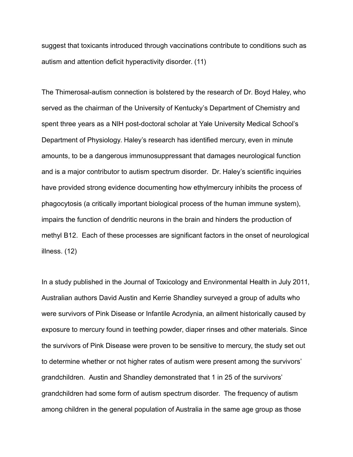suggest that toxicants introduced through vaccinations contribute to conditions such as autism and attention deficit hyperactivity disorder. (11)

The Thimerosal-autism connection is bolstered by the research of Dr. Boyd Haley, who served as the chairman of the University of Kentucky's Department of Chemistry and spent three years as a NIH post-doctoral scholar at Yale University Medical School's Department of Physiology. Haley's research has identified mercury, even in minute amounts, to be a dangerous immunosuppressant that damages neurological function and is a major contributor to autism spectrum disorder. Dr. Haley's scientific inquiries have provided strong evidence documenting how ethylmercury inhibits the process of phagocytosis (a critically important biological process of the human immune system), impairs the function of dendritic neurons in the brain and hinders the production of methyl B12. Each of these processes are significant factors in the onset of neurological illness. (12)

In a study published in the Journal of Toxicology and Environmental Health in July 2011, Australian authors David Austin and Kerrie Shandley surveyed a group of adults who were survivors of Pink Disease or Infantile Acrodynia, an ailment historically caused by exposure to mercury found in teething powder, diaper rinses and other materials. Since the survivors of Pink Disease were proven to be sensitive to mercury, the study set out to determine whether or not higher rates of autism were present among the survivors' grandchildren. Austin and Shandley demonstrated that 1 in 25 of the survivors' grandchildren had some form of autism spectrum disorder. The frequency of autism among children in the general population of Australia in the same age group as those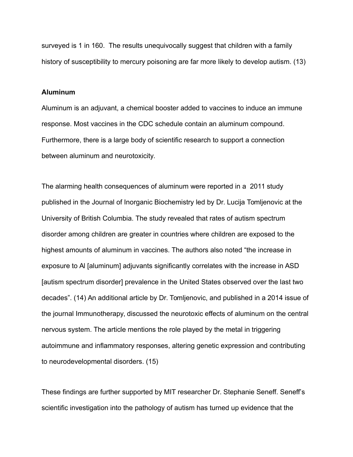surveyed is 1 in 160. The results unequivocally suggest that children with a family history of susceptibility to mercury poisoning are far more likely to develop autism. (13)

#### **Aluminum**

Aluminum is an adjuvant, a chemical booster added to vaccines to induce an immune response. Most vaccines in the CDC schedule contain an aluminum compound. Furthermore, there is a large body of scientific research to support a connection between aluminum and neurotoxicity.

The alarming health consequences of aluminum were reported in a 2011 study published in the Journal of Inorganic Biochemistry led by Dr. Lucija Tomljenovic at the University of British Columbia. The study revealed that rates of autism spectrum disorder among children are greater in countries where children are exposed to the highest amounts of aluminum in vaccines. The authors also noted "the increase in exposure to Al [aluminum] adjuvants significantly correlates with the increase in ASD [autism spectrum disorder] prevalence in the United States observed over the last two decades". (14) An additional article by Dr. Tomljenovic, and published in a 2014 issue of the journal Immunotherapy, discussed the neurotoxic effects of aluminum on the central nervous system. The article mentions the role played by the metal in triggering autoimmune and inflammatory responses, altering genetic expression and contributing to neurodevelopmental disorders. (15)

These findings are further supported by MIT researcher Dr. Stephanie Seneff. Seneff's scientific investigation into the pathology of autism has turned up evidence that the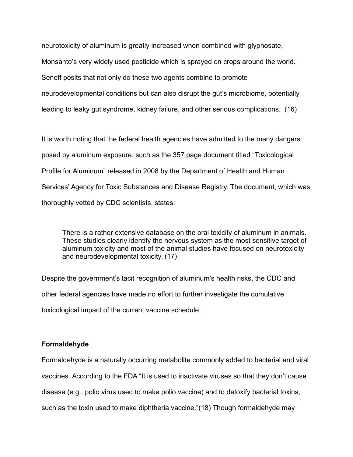neurotoxicity of aluminum is greatly increased when combined with glyphosate, Monsanto's very widely used pesticide which is sprayed on crops around the world. Seneff posits that not only do these two agents combine to promote neurodevelopmental conditions but can also disrupt the gut's microbiome, potentially leading to leaky gut syndrome, kidney failure, and other serious complications. (16)

It is worth noting that the federal health agencies have admitted to the many dangers posed by aluminum exposure, such as the 357 page document titled "Toxicological Profile for Aluminum" released in 2008 by the Department of Health and Human Services' Agency for Toxic Substances and Disease Registry. The document, which was thoroughly vetted by CDC scientists, states:

There is a rather extensive database on the oral toxicity of aluminum in animals. These studies clearly identify the nervous system as the most sensitive target of aluminum toxicity and most of the animal studies have focused on neurotoxicity and neurodevelopmental toxicity. (17)

Despite the government's tacit recognition of aluminum's health risks, the CDC and other federal agencies have made no effort to further investigate the cumulative toxicological impact of the current vaccine schedule.

### **Formaldehyde**

Formaldehyde is a naturally occurring metabolite commonly added to bacterial and viral vaccines. According to the FDA "It is used to inactivate viruses so that they don't cause disease (e.g., polio virus used to make polio vaccine) and to detoxify bacterial toxins, such as the toxin used to make diphtheria vaccine."(18) Though formaldehyde may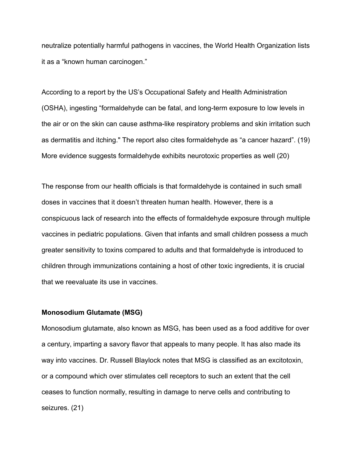neutralize potentially harmful pathogens in vaccines, the World Health Organization lists it as a "known human carcinogen."

According to a report by the US's Occupational Safety and Health Administration (OSHA), ingesting "formaldehyde can be fatal, and long-term exposure to low levels in the air or on the skin can cause asthma-like respiratory problems and skin irritation such as dermatitis and itching." The report also cites formaldehyde as "a cancer hazard". (19) More evidence suggests formaldehyde exhibits neurotoxic properties as well (20)

The response from our health officials is that formaldehyde is contained in such small doses in vaccines that it doesn't threaten human health. However, there is a conspicuous lack of research into the effects of formaldehyde exposure through multiple vaccines in pediatric populations. Given that infants and small children possess a much greater sensitivity to toxins compared to adults and that formaldehyde is introduced to children through immunizations containing a host of other toxic ingredients, it is crucial that we reevaluate its use in vaccines.

### **Monosodium Glutamate (MSG)**

Monosodium glutamate, also known as MSG, has been used as a food additive for over a century, imparting a savory flavor that appeals to many people. It has also made its way into vaccines. Dr. Russell Blaylock notes that MSG is classified as an excitotoxin, or a compound which over stimulates cell receptors to such an extent that the cell ceases to function normally, resulting in damage to nerve cells and contributing to seizures. (21)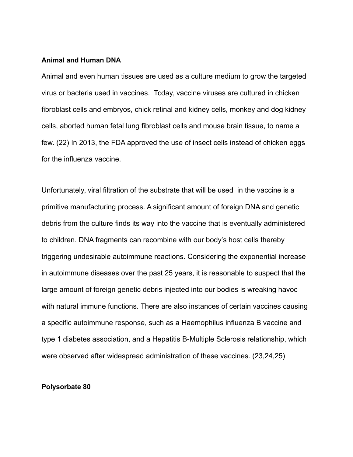### **Animal and Human DNA**

Animal and even human tissues are used as a culture medium to grow the targeted virus or bacteria used in vaccines. Today, vaccine viruses are cultured in chicken fibroblast cells and embryos, chick retinal and kidney cells, monkey and dog kidney cells, aborted human fetal lung fibroblast cells and mouse brain tissue, to name a few. (22) In 2013, the FDA approved the use of insect cells instead of chicken eggs for the influenza vaccine.

Unfortunately, viral filtration of the substrate that will be used in the vaccine is a primitive manufacturing process. A significant amount of foreign DNA and genetic debris from the culture finds its way into the vaccine that is eventually administered to children. DNA fragments can recombine with our body's host cells thereby triggering undesirable autoimmune reactions. Considering the exponential increase in autoimmune diseases over the past 25 years, it is reasonable to suspect that the large amount of foreign genetic debris injected into our bodies is wreaking havoc with natural immune functions. There are also instances of certain vaccines causing a specific autoimmune response, such as a Haemophilus influenza B vaccine and type 1 diabetes association, and a Hepatitis B-Multiple Sclerosis relationship, which were observed after widespread administration of these vaccines. (23,24,25)

### **Polysorbate 80**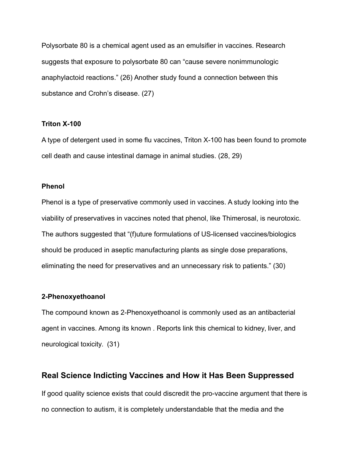Polysorbate 80 is a chemical agent used as an emulsifier in vaccines. Research suggests that exposure to polysorbate 80 can "cause severe nonimmunologic anaphylactoid reactions." (26) Another study found a connection between this substance and Crohn's disease. (27)

### **Triton X-100**

A type of detergent used in some flu vaccines, Triton X-100 has been found to promote cell death and cause intestinal damage in animal studies. (28, 29)

### **Phenol**

Phenol is a type of preservative commonly used in vaccines. A study looking into the viability of preservatives in vaccines noted that phenol, like Thimerosal, is neurotoxic. The authors suggested that "(f)uture formulations of US-licensed vaccines/biologics should be produced in aseptic manufacturing plants as single dose preparations, eliminating the need for preservatives and an unnecessary risk to patients." (30)

## **2-Phenoxyethoanol**

The compound known as 2-Phenoxyethoanol is commonly used as an antibacterial agent in vaccines. Among its known . Reports link this chemical to kidney, liver, and neurological toxicity. (31)

# **Real Science Indicting Vaccines and How it Has Been Suppressed**

If good quality science exists that could discredit the pro-vaccine argument that there is no connection to autism, it is completely understandable that the media and the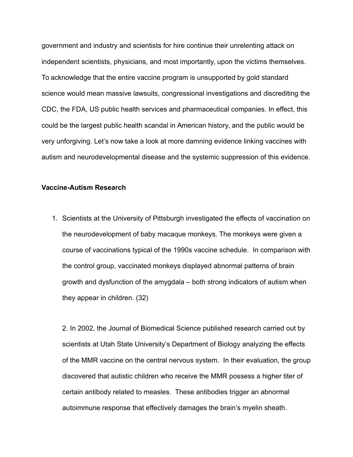government and industry and scientists for hire continue their unrelenting attack on independent scientists, physicians, and most importantly, upon the victims themselves. To acknowledge that the entire vaccine program is unsupported by gold standard science would mean massive lawsuits, congressional investigations and discrediting the CDC, the FDA, US public health services and pharmaceutical companies. In effect, this could be the largest public health scandal in American history, and the public would be very unforgiving. Let's now take a look at more damning evidence linking vaccines with autism and neurodevelopmental disease and the systemic suppression of this evidence.

### **Vaccine-Autism Research**

1. Scientists at the University of Pittsburgh investigated the effects of vaccination on the neurodevelopment of baby macaque monkeys. The monkeys were given a course of vaccinations typical of the 1990s vaccine schedule. In comparison with the control group, vaccinated monkeys displayed abnormal patterns of brain growth and dysfunction of the amygdala – both strong indicators of autism when they appear in children. (32)

2. In 2002, the Journal of Biomedical Science published research carried out by scientists at Utah State University's Department of Biology analyzing the effects of the MMR vaccine on the central nervous system. In their evaluation, the group discovered that autistic children who receive the MMR possess a higher titer of certain antibody related to measles. These antibodies trigger an abnormal autoimmune response that effectively damages the brain's myelin sheath.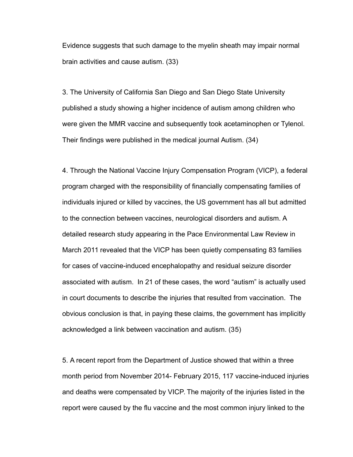Evidence suggests that such damage to the myelin sheath may impair normal brain activities and cause autism. (33)

3. The University of California San Diego and San Diego State University published a study showing a higher incidence of autism among children who were given the MMR vaccine and subsequently took acetaminophen or Tylenol. Their findings were published in the medical journal Autism. (34)

4. Through the National Vaccine Injury Compensation Program (VICP), a federal program charged with the responsibility of financially compensating families of individuals injured or killed by vaccines, the US government has all but admitted to the connection between vaccines, neurological disorders and autism. A detailed research study appearing in the Pace Environmental Law Review in March 2011 revealed that the VICP has been quietly compensating 83 families for cases of vaccine-induced encephalopathy and residual seizure disorder associated with autism. In 21 of these cases, the word "autism" is actually used in court documents to describe the injuries that resulted from vaccination. The obvious conclusion is that, in paying these claims, the government has implicitly acknowledged a link between vaccination and autism. (35)

5. A recent report from the Department of Justice showed that within a three month period from November 2014- February 2015, 117 vaccine-induced injuries and deaths were compensated by VICP. The majority of the injuries listed in the report were caused by the flu vaccine and the most common injury linked to the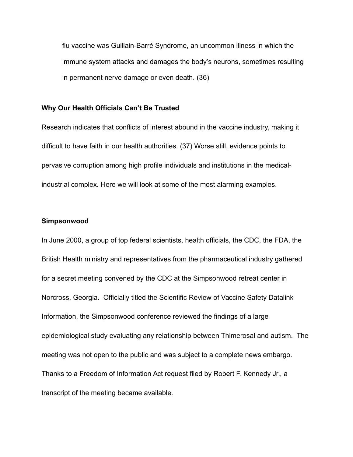flu vaccine was Guillain-Barré Syndrome, an uncommon illness in which the immune system attacks and damages the body's neurons, sometimes resulting in permanent nerve damage or even death. (36)

## **Why Our Health Officials Can't Be Trusted**

Research indicates that conflicts of interest abound in the vaccine industry, making it difficult to have faith in our health authorities. (37) Worse still, evidence points to pervasive corruption among high profile individuals and institutions in the medicalindustrial complex. Here we will look at some of the most alarming examples.

#### **Simpsonwood**

In June 2000, a group of top federal scientists, health officials, the CDC, the FDA, the British Health ministry and representatives from the pharmaceutical industry gathered for a secret meeting convened by the CDC at the Simpsonwood retreat center in Norcross, Georgia. Officially titled the Scientific Review of Vaccine Safety Datalink Information, the Simpsonwood conference reviewed the findings of a large epidemiological study evaluating any relationship between Thimerosal and autism. The meeting was not open to the public and was subject to a complete news embargo. Thanks to a Freedom of Information Act request filed by Robert F. Kennedy Jr., a transcript of the meeting became available.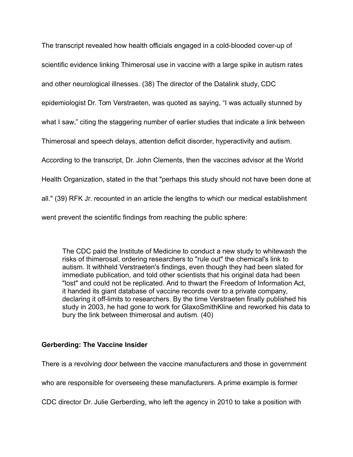The transcript revealed how health officials engaged in a cold-blooded cover-up of

scientific evidence linking Thimerosal use in vaccine with a large spike in autism rates

and other neurological illnesses. (38) The director of the Datalink study, CDC

epidemiologist Dr. Tom Verstraeten, was quoted as saying, "I was actually stunned by

what I saw," citing the staggering number of earlier studies that indicate a link between

Thimerosal and speech delays, attention deficit disorder, hyperactivity and autism.

According to the transcript, Dr. John Clements, then the vaccines advisor at the World

Health Organization, stated in the that "perhaps this study should not have been done at

all." (39) RFK Jr. recounted in an article the lengths to which our medical establishment

went prevent the scientific findings from reaching the public sphere:

The CDC paid the Institute of Medicine to conduct a new study to whitewash the risks of thimerosal, ordering researchers to "rule out" the chemical's link to autism. It withheld Verstraeten's findings, even though they had been slated for immediate publication, and told other scientists that his original data had been "lost" and could not be replicated. And to thwart the Freedom of Information Act, it handed its giant database of vaccine records over to a private company, declaring it off-limits to researchers. By the time Verstraeten finally published his study in 2003, he had gone to work for GlaxoSmithKline and reworked his data to bury the link between thimerosal and autism. (40)

# **Gerberding: The Vaccine Insider**

There is a revolving door between the vaccine manufacturers and those in government

who are responsible for overseeing these manufacturers. A prime example is former

CDC director Dr. Julie Gerberding, who left the agency in 2010 to take a position with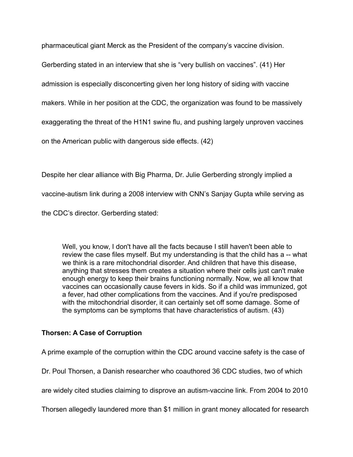pharmaceutical giant Merck as the President of the company's vaccine division.

Gerberding stated in an interview that she is "very bullish on vaccines". (41) Her

admission is especially disconcerting given her long history of siding with vaccine

makers. While in her position at the CDC, the organization was found to be massively

exaggerating the threat of the H1N1 swine flu, and pushing largely unproven vaccines

on the American public with dangerous side effects. (42)

Despite her clear alliance with Big Pharma, Dr. Julie Gerberding strongly implied a

vaccine-autism link during a 2008 interview with CNN's Sanjay Gupta while serving as

the CDC's director. Gerberding stated:

Well, you know, I don't have all the facts because I still haven't been able to review the case files myself. But my understanding is that the child has a -- what we think is a rare mitochondrial disorder. And children that have this disease, anything that stresses them creates a situation where their cells just can't make enough energy to keep their brains functioning normally. Now, we all know that vaccines can occasionally cause fevers in kids. So if a child was immunized, got a fever, had other complications from the vaccines. And if you're predisposed with the mitochondrial disorder, it can certainly set off some damage. Some of the symptoms can be symptoms that have characteristics of autism. (43)

## **Thorsen: A Case of Corruption**

A prime example of the corruption within the CDC around vaccine safety is the case of

Dr. Poul Thorsen, a Danish researcher who coauthored 36 CDC studies, two of which

are widely cited studies claiming to disprove an autism-vaccine link. From 2004 to 2010

Thorsen allegedly laundered more than \$1 million in grant money allocated for research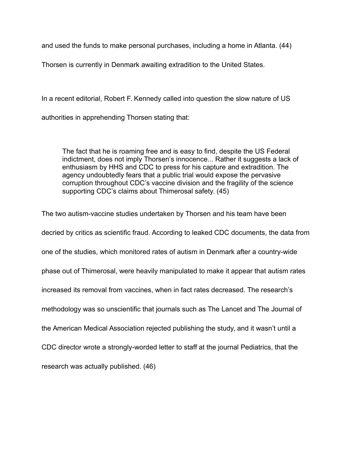and used the funds to make personal purchases, including a home in Atlanta. (44)

Thorsen is currently in Denmark awaiting extradition to the United States.

In a recent editorial, Robert F. Kennedy called into question the slow nature of US

authorities in apprehending Thorsen stating that:

The fact that he is roaming free and is easy to find, despite the US Federal indictment, does not imply Thorsen's innocence... Rather it suggests a lack of enthusiasm by HHS and CDC to press for his capture and extradition. The agency undoubtedly fears that a public trial would expose the pervasive corruption throughout CDC's vaccine division and the fragility of the science supporting CDC's claims about Thimerosal safety. (45)

The two autism-vaccine studies undertaken by Thorsen and his team have been decried by critics as scientific fraud. According to leaked CDC documents, the data from one of the studies, which monitored rates of autism in Denmark after a country-wide phase out of Thimerosal, were heavily manipulated to make it appear that autism rates increased its removal from vaccines, when in fact rates decreased. The research's methodology was so unscientific that journals such as The Lancet and The Journal of the American Medical Association rejected publishing the study, and it wasn't until a CDC director wrote a strongly-worded letter to staff at the journal Pediatrics, that the research was actually published. (46)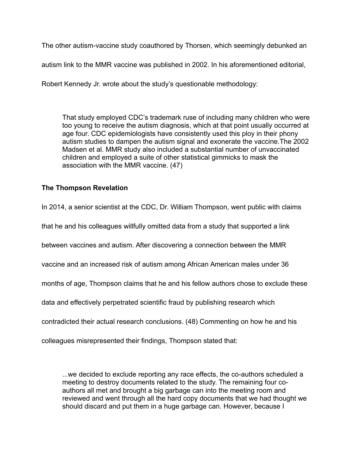The other autism-vaccine study coauthored by Thorsen, which seemingly debunked an

autism link to the MMR vaccine was published in 2002. In his aforementioned editorial,

Robert Kennedy Jr. wrote about the study's questionable methodology:

That study employed CDC's trademark ruse of including many children who were too young to receive the autism diagnosis, which at that point usually occurred at age four. CDC epidemiologists have consistently used this ploy in their phony autism studies to dampen the autism signal and exonerate the vaccine.The 2002 Madsen et al. MMR study also included a substantial number of unvaccinated children and employed a suite of other statistical gimmicks to mask the association with the MMR vaccine. (47)

# **The Thompson Revelation**

In 2014, a senior scientist at the CDC, Dr. William Thompson, went public with claims

that he and his colleagues willfully omitted data from a study that supported a link

between vaccines and autism. After discovering a connection between the MMR

vaccine and an increased risk of autism among African American males under 36

months of age, Thompson claims that he and his fellow authors chose to exclude these

data and effectively perpetrated scientific fraud by publishing research which

contradicted their actual research conclusions. (48) Commenting on how he and his

colleagues misrepresented their findings, Thompson stated that:

...we decided to exclude reporting any race effects, the co-authors scheduled a meeting to destroy documents related to the study. The remaining four coauthors all met and brought a big garbage can into the meeting room and reviewed and went through all the hard copy documents that we had thought we should discard and put them in a huge garbage can. However, because I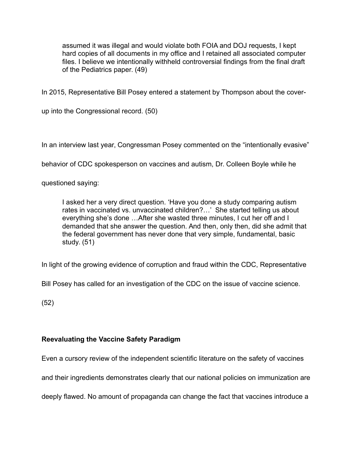assumed it was illegal and would violate both FOIA and DOJ requests, I kept hard copies of all documents in my office and I retained all associated computer files. I believe we intentionally withheld controversial findings from the final draft of the Pediatrics paper. (49)

In 2015, Representative Bill Posey entered a statement by Thompson about the cover-

up into the Congressional record. (50)

In an interview last year, Congressman Posey commented on the "intentionally evasive"

behavior of CDC spokesperson on vaccines and autism, Dr. Colleen Boyle while he

questioned saying:

I asked her a very direct question. 'Have you done a study comparing autism rates in vaccinated vs. unvaccinated children?…' She started telling us about everything she's done …After she wasted three minutes, I cut her off and I demanded that she answer the question. And then, only then, did she admit that the federal government has never done that very simple, fundamental, basic study. (51)

In light of the growing evidence of corruption and fraud within the CDC, Representative

Bill Posey has called for an investigation of the CDC on the issue of vaccine science.

(52)

# **Reevaluating the Vaccine Safety Paradigm**

Even a cursory review of the independent scientific literature on the safety of vaccines

and their ingredients demonstrates clearly that our national policies on immunization are

deeply flawed. No amount of propaganda can change the fact that vaccines introduce a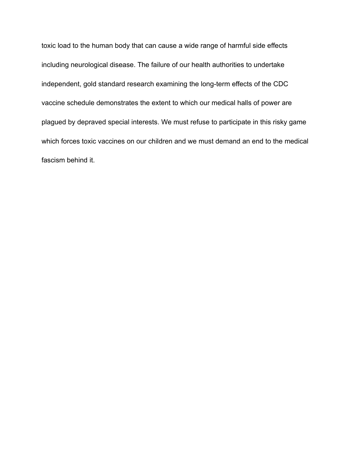toxic load to the human body that can cause a wide range of harmful side effects including neurological disease. The failure of our health authorities to undertake independent, gold standard research examining the long-term effects of the CDC vaccine schedule demonstrates the extent to which our medical halls of power are plagued by depraved special interests. We must refuse to participate in this risky game which forces toxic vaccines on our children and we must demand an end to the medical fascism behind it.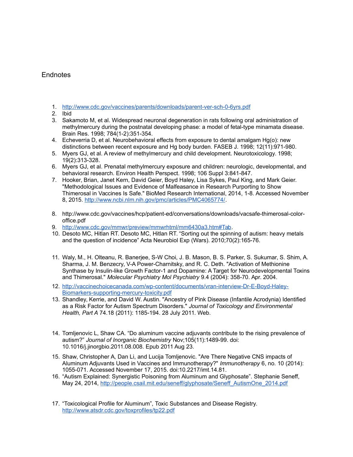### **Endnotes**

- 1. <http://www.cdc.gov/vaccines/parents/downloads/parent-ver-sch-0-6yrs.pdf>
- 2. Ibid
- 3. Sakamoto M, et al. Widespread neuronal degeneration in rats following oral administration of methylmercury during the postnatal developing phase: a model of fetal-type minamata disease. Brain Res. 1998; 784(1-2):351-354.
- 4. Echeverria D, et al. Neurobehavioral effects from exposure to dental amalgam Hg(o): new distinctions between recent exposure and Hg body burden. FASEB J. 1998; 12(11):971-980.
- 5. Myers GJ, et al. A review of methylmercury and child development. Neurotoxicology. 1998; 19(2):313-328.
- 6. Myers GJ, et al. Prenatal methylmercury exposure and children: neurologic, developmental, and behavioral research. Environ Health Perspect. 1998; 106 Suppl 3:841-847.
- 7. Hooker, Brian, Janet Kern, David Geier, Boyd Haley, Lisa Sykes, Paul King, and Mark Geier. "Methodological Issues and Evidence of Malfeasance in Research Purporting to Show Thimerosal in Vaccines Is Safe." BioMed Research International, 2014, 1-8. Accessed November 8, 2015. [http://www.ncbi.nlm.nih.gov/pmc/articles/PMC4065774/.](http://www.ncbi.nlm.nih.gov/pmc/articles/PMC4065774/)
- 8. http://www.cdc.gov/vaccines/hcp/patient-ed/conversations/downloads/vacsafe-thimerosal-coloroffice.pdf
- 9. [http://www.cdc.gov/mmwr/preview/mmwrhtml/mm6430a3.htm#Tab.](http://www.cdc.gov/mmwr/preview/mmwrhtml/mm6430a3.htm#Tab)
- 10. Desoto MC, Hitlan RT. Desoto MC, Hitlan RT. "Sorting out the spinning of autism: heavy metals and the question of incidence" Acta Neurobiol Exp (Wars). 2010;70(2):165-76.
- 11. Waly, M., H. Olteanu, R. Banerjee, S-W Choi, J. B. Mason, B. S. Parker, S. Sukumar, S. Shim, A. Sharma, J. M. Benzecry, V-A Power-Charnitsky, and R. C. Deth. "Activation of Methionine Synthase by Insulin-like Growth Factor-1 and Dopamine: A Target for Neurodevelopmental Toxins and Thimerosal." *Molecular Psychiatry Mol Psychiatry* 9.4 (2004): 358-70. Apr. 2004.
- 12. [http://vaccinechoicecanada.com/wp-content/documents/vran-interview-Dr-E-Boyd-Haley-](http://vaccinechoicecanada.com/wp-content/documents/vran-interview-Dr-E-Boyd-Haley-Biomarkers-supporting-mercury-toxicity.pdf)[Biomarkers-supporting-mercury-toxicity.pdf](http://vaccinechoicecanada.com/wp-content/documents/vran-interview-Dr-E-Boyd-Haley-Biomarkers-supporting-mercury-toxicity.pdf)
- 13. Shandley, Kerrie, and David W. Austin. "Ancestry of Pink Disease (Infantile Acrodynia) Identified as a Risk Factor for Autism Spectrum Disorders." *Journal of Toxicology and Environmental Health, Part A* 74.18 (2011): 1185-194. 28 July 2011. Web.
- 14. Tomljenovic L, Shaw CA. "Do aluminum vaccine adjuvants contribute to the rising prevalence of autism?" *Journal of Inorganic Biochemistry* Nov;105(11):1489-99. doi: 10.1016/j.jinorgbio.2011.08.008. Epub 2011 Aug 23.
- 15. Shaw, Christopher A, Dan Li, and Lucija Tomljenovic. "Are There Negative CNS impacts of Aluminum Adjuvants Used in Vaccines and Immunotherapy?" *Immunotherapy* 6, no. 10 (2014): 1055-071. Accessed November 17, 2015. doi:10.2217/imt.14.81.
- 16. "Autism Explained: Synergistic Poisoning from Aluminum and Glyphosate". Stephanie Seneff, May 24, 2014, [http://people.csail.mit.edu/seneff/glyphosate/Seneff\\_AutismOne\\_2014.pdf](http://people.csail.mit.edu/seneff/glyphosate/Seneff_AutismOne_2014.pdf)
- 17. "Toxicological Profile for Aluminum", Toxic Substances and Disease Registry. <http://www.atsdr.cdc.gov/toxprofiles/tp22.pdf>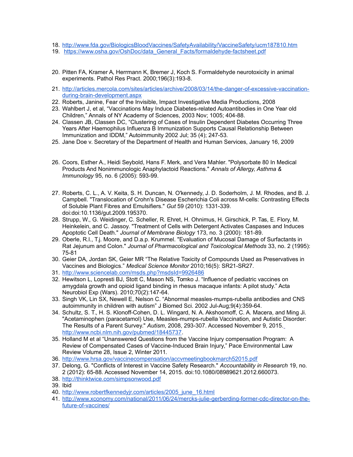- 18. <http://www.fda.gov/BiologicsBloodVaccines/SafetyAvailability/VaccineSafety/ucm187810.htm>
- 19. [https://www.osha.gov/OshDoc/data\\_General\\_Facts/formaldehyde-factsheet.pdf](https://www.osha.gov/OshDoc/data_General_Facts/formaldehyde-factsheet.pdf)
- 20. Pitten FA, Kramer A, Herrmann K, Bremer J, Koch S. Formaldehyde neurotoxicity in animal experiments. Pathol Res Pract. 2000;196(3):193-8.
- 21. [http://articles.mercola.com/sites/articles/archive/2008/03/14/the-danger-of-excessive-vaccination](http://articles.mercola.com/sites/articles/archive/2008/03/14/the-danger-of-excessive-vaccination-during-brain-development.aspx)[during-brain-development.aspx](http://articles.mercola.com/sites/articles/archive/2008/03/14/the-danger-of-excessive-vaccination-during-brain-development.aspx)
- 22. Roberts, Janine, Fear of the Invisible, Impact Investigative Media Productions, 2008
- 23. Wahlbert J, et al, "Vaccinations May Induce Diabetes-related Autoantibodies in One Year old Children," Annals of NY Academy of Sciences, 2003 Nov; 1005; 404-88.
- 24. Classen JB, Classen DC, "Clustering of Cases of Insulin Dependent Diabetes Occurring Three Years After Haemophilus Influenza B Immunization Supports Causal Relationship Between Immunization and IDDM," Autoimmunity 2002 Jul; 35 (4); 247-53.
- 25. Jane Doe v. Secretary of the Department of Health and Human Services, January 16, 2009
- 26. Coors, Esther A., Heidi Seybold, Hans F. Merk, and Vera Mahler. "Polysorbate 80 In Medical Products And Nonimmunologic Anaphylactoid Reactions." *Annals of Allergy, Asthma & Immunology* 95, no. 6 (2005): 593-99.
- 27. Roberts, C. L., A. V. Keita, S. H. Duncan, N. O'kennedy, J. D. Soderholm, J. M. Rhodes, and B. J. Campbell. "Translocation of Crohn's Disease Escherichia Coli across M-cells: Contrasting Effects of Soluble Plant Fibres and Emulsifiers." *Gut* 59 (2010): 1331-339. doi:doi:10.1136/gut.2009.195370.
- 28. Strupp, W., G. Weidinger, C. Scheller, R. Ehret, H. Ohnimus, H. Girschick, P. Tas, E. Flory, M. Heinkelein, and C. Jassoy. "Treatment of Cells with Detergent Activates Caspases and Induces Apoptotic Cell Death." *Journal of Membrane Biology* 173, no. 3 (2000): 181-89.
- 29. Oberle, R.l., T.j. Moore, and D.a.p. Krummel. "Evaluation of Mucosal Damage of Surfactants in Rat Jejunum and Colon." *Journal of Pharmacological and Toxicological Methods* 33, no. 2 (1995): 75-81
- 30. Geier DA, Jordan SK, Geier MR "The Relative Toxicity of Compounds Used as Preservatives in Vaccines and Biologics." *Medical Science Monitor* 2010;16(5): SR21-SR27.
- 31. <http://www.sciencelab.com/msds.php?msdsId=9926486>
- 32. Hewitson L, Lopresti BJ, Stott C, Mason NS, Tomko J. "Influence of pediatric vaccines on amygdala growth and opioid ligand binding in rhesus macaque infants: A pilot study." Acta Neurobiol Exp (Wars). 2010;70(2):147-64.
- 33. Singh VK, Lin SX, Newell E, Nelson C. "Abnormal measles-mumps-rubella antibodies and CNS autoimmunity in children with autism" J Biomed Sci. 2002 Jul-Aug;9(4):359-64.
- 34. Schultz, S. T., H. S. Klonoff-Cohen, D. L. Wingard, N. A. Akshoomoff, C. A. Macera, and Ming Ji. "Acetaminophen (paracetamol) Use, Measles-mumps-rubella Vaccination, and Autistic Disorder: The Results of a Parent Survey." *Autism*, 2008, 293-307. Accessed November 9, 2015. [http://www.ncbi.nlm.nih.gov/pubmed/18445737.](http://www.ncbi.nlm.nih.gov/pubmed/18445737)
- 35. Holland M et al "Unanswered Questions from the Vaccine Injury compensation Program: A Review of Compensated Cases of Vaccine-Induced Brain Injury," Pace Environmental Law Review Volume 28, Issue 2, Winter 2011.
- 36. <http://www.hrsa.gov/vaccinecompensation/accvmeetingbookmarch52015.pdf>
- 37. Delong, G. "Conflicts of Interest in Vaccine Safety Research." *Accountability in Research* 19, no. 2 (2012): 65-88. Accessed November 14, 2015. doi:10.1080/08989621.2012.660073.
- 38. <http://thinktwice.com/simpsonwood.pdf>
- 39. Ibid
- 40. [http://www.robertfkennedyjr.com/articles/2005\\_june\\_16.html](http://www.robertfkennedyjr.com/articles/2005_june_16.html)
- 41. [http://www.xconomy.com/national/2011/06/24/mercks-julie-gerberding-former-cdc-director-on-the](http://www.xconomy.com/national/2011/06/24/mercks-julie-gerberding-former-cdc-director-on-the-future-of-vaccines/)[future-of-vaccines/](http://www.xconomy.com/national/2011/06/24/mercks-julie-gerberding-former-cdc-director-on-the-future-of-vaccines/)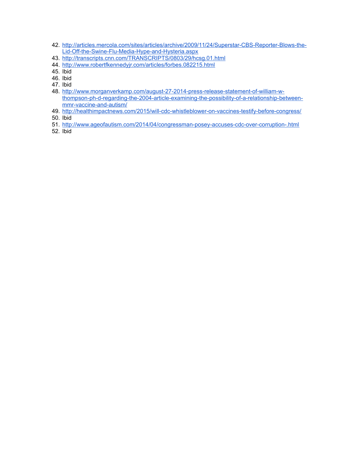- 42. [http://articles.mercola.com/sites/articles/archive/2009/11/24/Superstar-CBS-Reporter-Blows-the-](http://articles.mercola.com/sites/articles/archive/2009/11/24/Superstar-CBS-Reporter-Blows-the-Lid-Off-the-Swine-Flu-Media-Hype-and-Hysteria.aspx)[Lid-Off-the-Swine-Flu-Media-Hype-and-Hysteria.aspx](http://articles.mercola.com/sites/articles/archive/2009/11/24/Superstar-CBS-Reporter-Blows-the-Lid-Off-the-Swine-Flu-Media-Hype-and-Hysteria.aspx)
- 43. <http://transcripts.cnn.com/TRANSCRIPTS/0803/29/hcsg.01.html>
- 44. <http://www.robertfkennedyjr.com/articles/forbes.082215.html>
- 45. Ibid
- 46. Ibid
- 47. Ibid
- 48. [http://www.morganverkamp.com/august-27-2014-press-release-statement-of-william-w](http://www.morganverkamp.com/august-27-2014-press-release-statement-of-william-w-thompson-ph-d-regarding-the-2004-article-examining-the-possibility-of-a-relationship-between-mmr-vaccine-and-autism/)[thompson-ph-d-regarding-the-2004-article-examining-the-possibility-of-a-relationship-between](http://www.morganverkamp.com/august-27-2014-press-release-statement-of-william-w-thompson-ph-d-regarding-the-2004-article-examining-the-possibility-of-a-relationship-between-mmr-vaccine-and-autism/)[mmr-vaccine-and-autism/](http://www.morganverkamp.com/august-27-2014-press-release-statement-of-william-w-thompson-ph-d-regarding-the-2004-article-examining-the-possibility-of-a-relationship-between-mmr-vaccine-and-autism/)
- 49. <http://healthimpactnews.com/2015/will-cdc-whistleblower-on-vaccines-testify-before-congress/>
- 50. Ibid
- 51. <http://www.ageofautism.com/2014/04/congressman-posey-accuses-cdc-over-corruption-.html>
- 52. Ibid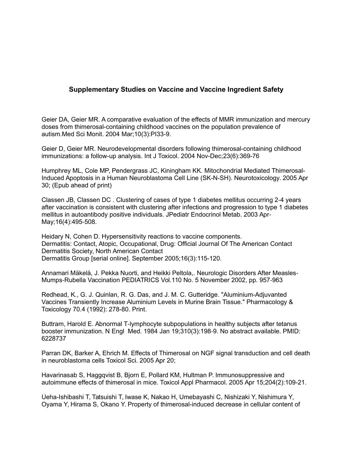# **Supplementary Studies on Vaccine and Vaccine Ingredient Safety**

Geier DA, Geier MR. A comparative evaluation of the effects of MMR immunization and mercury doses from thimerosal-containing childhood vaccines on the population prevalence of autism.Med Sci Monit. 2004 Mar;10(3):PI33-9.

Geier D, Geier MR. Neurodevelopmental disorders following thimerosal-containing childhood immunizations: a follow-up analysis. Int J Toxicol. 2004 Nov-Dec;23(6):369-76

Humphrey ML, Cole MP, Pendergrass JC, Kiningham KK. Mitochondrial Mediated Thimerosal-Induced Apoptosis in a Human Neuroblastoma Cell Line (SK-N-SH). Neurotoxicology. 2005 Apr 30; (Epub ahead of print)

Classen JB, Classen DC. Clustering of cases of type 1 diabetes mellitus occurring 2-4 years after vaccination is consistent with clustering after infections and progression to type 1 diabetes mellitus in autoantibody positive individuals. JPediatr Endocrinol Metab. 2003 Apr‐ May; 16(4): 495-508.

Heidary N, Cohen D. Hypersensitivity reactions to vaccine components. Dermatitis: Contact, Atopic, Occupational, Drug: Official Journal Of The American Contact Dermatitis Society, North American Contact Dermatitis Group [serial online]. September 2005;16(3):115-120.

Annamari Mäkelä, J. Pekka Nuorti, and Heikki Peltola,. Neurologic Disorders After Measles‐ Mumps-Rubella Vaccination PEDIATRICS Vol.110 No. 5 November 2002, pp. 957-963

Redhead, K., G. J. Quinlan, R. G. Das, and J. M. C. Gutteridge. "Aluminium-Adjuvanted Vaccines Transiently Increase Aluminium Levels in Murine Brain Tissue." Pharmacology & Toxicology 70.4 (1992): 278-80. Print.

Buttram, Harold E. Abnormal T-lymphocyte subpopulations in healthy subjects after tetanus booster immunization. N Engl Med. 1984 Jan 19;310(3):198-9. No abstract available. PMID: 6228737

Parran DK, Barker A, Ehrich M. Effects of Thimerosal on NGF signal transduction and cell death in neuroblastoma cells Toxicol Sci. 2005 Apr 20;

Havarinasab S, Haggqvist B, Bjorn E, Pollard KM, Hultman P. Immunosuppressive and autoimmune effects of thimerosal in mice. Toxicol Appl Pharmacol. 2005 Apr 15;204(2):109-21.

Ueha-Ishibashi T, Tatsuishi T, Iwase K, Nakao H, Umebayashi C, Nishizaki Y, Nishimura Y, Oyama Y, Hirama S, Okano Y. Property of thimerosal-induced decrease in cellular content of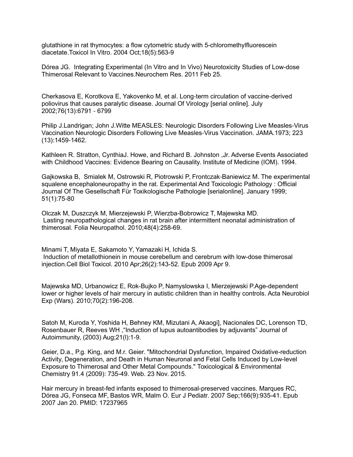glutathione in rat thymocytes: a flow cytometric study with 5-chloromethylfluorescein diacetate.Toxicol In Vitro. 2004 Oct;18(5):563-9

Dórea JG. Integrating Experimental (In Vitro and In Vivo) Neurotoxicity Studies of Low-dose Thimerosal Relevant to Vaccines.Neurochem Res. 2011 Feb 25.

Cherkasova E, Korotkova E, Yakovenko M, et al. Long-term circulation of vaccine-derived poliovirus that causes paralytic disease. Journal Of Virology [serial online]. July 2002;76(13):6791 - 6799

Philip J.Landrigan; John J.Witte MEASLES: Neurologic Disorders Following Live Measles Virus ‐ Vaccination Neurologic Disorders Following Live Measles-Virus Vaccination. JAMA.1973; 223 (13):1459-1462.

Kathleen R. Stratton, CynthiaJ. Howe, and Richard B. Johnston ,Jr. Adverse Events Associated with Childhood Vaccines: Evidence Bearing on Causality. Institute of Medicine (IOM). 1994.

Gajkowska B, Smialek M, Ostrowski R, Piotrowski P, Frontczak-Baniewicz M. The experimental squalene encephaloneuropathy in the rat. Experimental And Toxicologic Pathology : Official Journal Of The Gesellschaft Für Toxikologische Pathologie [serialonline]. January 1999; 51(1):75-80

Olczak M, Duszczyk M, Mierzejewski P, Wierzba-Bobrowicz T, Majewska MD. Lasting neuropathological changes in rat brain after intermittent neonatal administration of thimerosal. Folia Neuropathol. 2010;48(4):258-69.

Minami T, Miyata E, Sakamoto Y, Yamazaki H, Ichida S. Induction of metallothionein in mouse cerebellum and cerebrum with low-dose thimerosal injection.Cell Biol Toxicol. 2010 Apr;26(2):143-52. Epub 2009 Apr 9.

Majewska MD, Urbanowicz E, Rok-Bujko P, Namyslowska I, Mierzejewski P.Age-dependent lower or higher levels of hair mercury in autistic children than in healthy controls. Acta Neurobiol Exp (Wars). 2010;70(2):196-208.

Satoh M, Kuroda Y, Yoshida H, Behney KM, Mizutani A, Akaogi], Nacionales DC, Lorenson TD, Rosenbauer R, Reeves WH ,"Induction of lupus autoantibodies by adjuvants" Journal of Autoimmunity, (2003) Aug;21(l):1 9. ‐

Geier, D.a., P.g. King, and M.r. Geier. "Mitochondrial Dysfunction, Impaired Oxidative-reduction Activity, Degeneration, and Death in Human Neuronal and Fetal Cells Induced by Low-level Exposure to Thimerosal and Other Metal Compounds." Toxicological & Environmental Chemistry 91.4 (2009): 735-49. Web. 23 Nov. 2015.

Hair mercury in breast-fed infants exposed to thimerosal-preserved vaccines. Marques RC, Dórea JG, Fonseca MF, Bastos WR, Malm O. Eur J Pediatr. 2007 Sep;166(9):935-41. Epub 2007 Jan 20. PMID: 17237965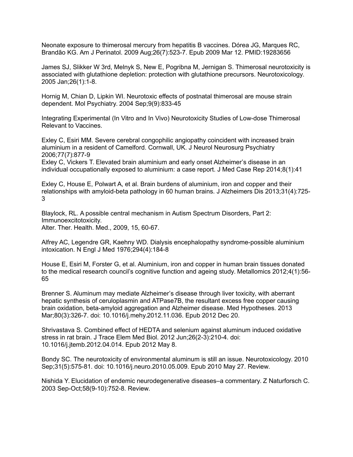Neonate exposure to thimerosal mercury from hepatitis B vaccines. Dórea JG, Marques RC, Brandão KG. Am J Perinatol. 2009 Aug;26(7):523-7. Epub 2009 Mar 12. PMID:19283656

James SJ, Slikker W 3rd, Melnyk S, New E, Pogribna M, Jernigan S. Thimerosal neurotoxicity is associated with glutathione depletion: protection with glutathione precursors. Neurotoxicology. 2005 Jan;26(1):1-8.

Hornig M, Chian D, Lipkin WI. Neurotoxic effects of postnatal thimerosal are mouse strain dependent. Mol Psychiatry. 2004 Sep;9(9):833-45

Integrating Experimental (In Vitro and In Vivo) Neurotoxicity Studies of Low-dose Thimerosal Relevant to Vaccines.

Exley C, Esiri MM. Severe cerebral congophilic angiopathy coincident with increased brain aluminium in a resident of Camelford. Cornwall, UK. J Neurol Neurosurg Psychiatry 2006;77(7):877-9

Exley C, Vickers T. Elevated brain aluminium and early onset Alzheimer's disease in an individual occupationally exposed to aluminium: a case report. J Med Case Rep 2014;8(1):41

Exley C, House E, Polwart A, et al. Brain burdens of aluminium, iron and copper and their relationships with amyloid-beta pathology in 60 human brains. J Alzheimers Dis 2013;31(4):725- 3

Blaylock, RL. A possible central mechanism in Autism Spectrum Disorders, Part 2: Immunoexcitotoxicity. Alter. Ther. Health. Med., 2009, 15, 60-67.

Alfrey AC, Legendre GR, Kaehny WD. Dialysis encephalopathy syndrome-possible aluminium intoxication. N Engl J Med 1976;294(4):184-8

House E, Esiri M, Forster G, et al. Aluminium, iron and copper in human brain tissues donated to the medical research council's cognitive function and ageing study. Metallomics 2012;4(1):56- 65

Brenner S. Aluminum may mediate Alzheimer's disease through liver toxicity, with aberrant hepatic synthesis of ceruloplasmin and ATPase7B, the resultant excess free copper causing brain oxidation, beta-amyloid aggregation and Alzheimer disease. Med Hypotheses. 2013 Mar;80(3):326-7. doi: 10.1016/j.mehy.2012.11.036. Epub 2012 Dec 20.

Shrivastava S. Combined effect of HEDTA and selenium against aluminum induced oxidative stress in rat brain. J Trace Elem Med Biol. 2012 Jun;26(2-3):210-4. doi: 10.1016/j.jtemb.2012.04.014. Epub 2012 May 8.

Bondy SC. The neurotoxicity of environmental aluminum is still an issue. Neurotoxicology. 2010 Sep;31(5):575-81. doi: 10.1016/j.neuro.2010.05.009. Epub 2010 May 27. Review.

Nishida Y. Elucidation of endemic neurodegenerative diseases–a commentary. Z Naturforsch C. 2003 Sep-Oct;58(9-10):752-8. Review.